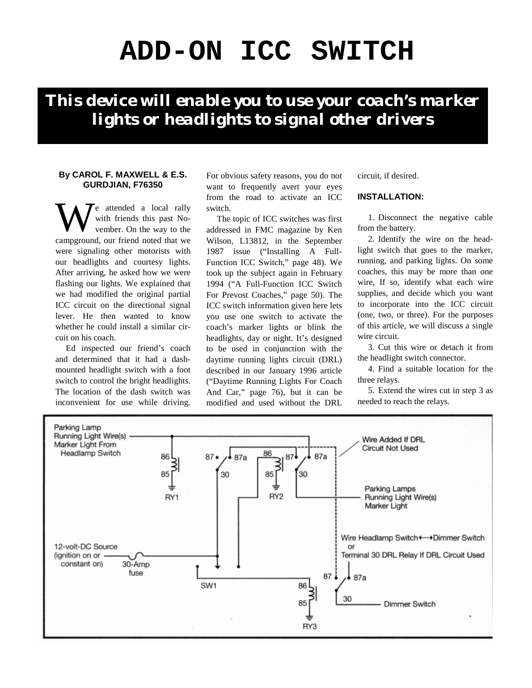# **ADD-ON ICC SWITCH**

*This device will enable you to use your coach's marker lights or headlights to signal other drivers*

#### **By CAROL F. MAXWELL & E.S. GURDJIAN, F76350**

e attended a local rally with friends this past November. On the way to the campground, our friend noted that we were signaling other motorists with our headlights and courtesy lights. After arriving, he asked how we were flashing our lights. We explained that we had modified the original partial ICC circuit on the directional signal lever. He then wanted to know whether he could install a similar circuit on his coach. W

Ed inspected our friend's coach and determined that it had a dashmounted headlight switch with a foot switch to control the bright headlights. The location of the dash switch was inconvenient for use while driving.

For obvious safety reasons, you do not want to frequently avert your eyes from the road to activate an ICC switch.

The topic of ICC switches was first addressed in FMC magazine by Ken Wilson, L13812, in the September 1987 issue ("Installing A Full-Function ICC Switch," page 48). We took up the subject again in February 1994 ("A Full-Function ICC Switch For Prevost Coaches," page 50). The ICC switch information given here lets you use one switch to activate the coach's marker lights or blink the headlights, day or night. It's designed to be used in conjunction with the daytime running lights circuit (DRL) described in our January 1996 article ("Daytime Running Lights For Coach And Car," page 76), but it can be modified and used without the DRL circuit, if desired.

# **INSTALLATION:**

1. Disconnect the negative cable from the battery.

2. Identify the wire on the headlight switch that goes to the marker, running, and parking lights. On some coaches, this may be more than one wire, If so, identify what each wire supplies, and decide which you want to incorporate into the ICC circuit (one, two, or three). For the purposes of this article, we will discuss a single wire circuit.

3. Cut this wire or detach it from the headlight switch connector.

4. Find a suitable location for the three relays.

5. Extend the wires cut in step 3 as needed to reach the relays.